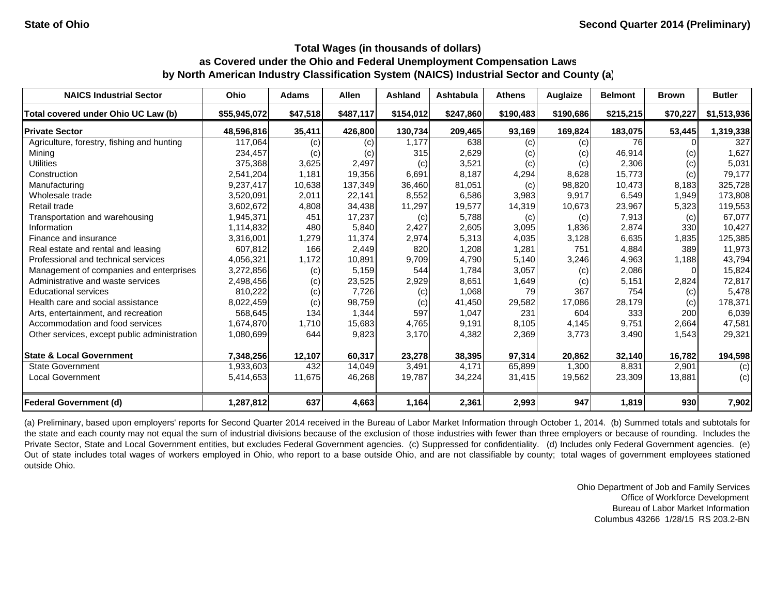| <b>NAICS Industrial Sector</b>               | Ohio         | <b>Adams</b> | <b>Allen</b> | Ashland   | <b>Ashtabula</b> | <b>Athens</b> | Auglaize          | <b>Belmont</b> | <b>Brown</b>               | <b>Butler</b> |
|----------------------------------------------|--------------|--------------|--------------|-----------|------------------|---------------|-------------------|----------------|----------------------------|---------------|
| Total covered under Ohio UC Law (b)          | \$55,945,072 | \$47,518     | \$487,117    | \$154,012 | \$247,860        | \$190,483     | \$190,686         | \$215,215      | \$70,227                   | \$1,513,936   |
| <b>Private Sector</b>                        | 48.596.816   | 35,411       | 426,800      | 130,734   | 209,465          | 93,169        | 169,824           | 183,075        | 53,445                     | 1,319,338     |
| Agriculture, forestry, fishing and hunting   | 117,064      | (c)          | (c)          | 1.177     | 638              | (c)           | (c)               | 76             |                            | 327           |
| Mining                                       | 234,457      | (c)          | (c)          | 315       | 2,629            | (c)           | (c)               | 46,914         | $\left( \mathrm{c}\right)$ | 1,627         |
| <b>Utilities</b>                             | 375,368      | 3,625        | 2,497        | (c)       | 3,521            | (c)           | (c)               | 2,306          | (c)                        | 5,031         |
| Construction                                 | 2,541,204    | 1.181        | 19,356       | 6,691     | 8.187            | 4,294         | 8,628             | 15,773         | (c)                        | 79,177        |
| Manufacturing                                | 9,237,417    | 10,638       | 137,349      | 36,460    | 81,051           | (c)           | 98,820            | 10,473         | 8,183                      | 325,728       |
| Wholesale trade                              | 3,520,091    | 2,011        | 22,141       | 8,552     | 6.586            | 3,983         | 9,917             | 6,549          | 1,949                      | 173,808       |
| Retail trade                                 | 3,602,672    | 4,808        | 34,438       | 11,297    | 19,577           | 14,319        | 10,673            | 23,967         | 5,323                      | 119,553       |
| Transportation and warehousing               | 1,945,371    | 451          | 17,237       | (c)       | 5.788            | (c)           | $\left( c\right)$ | 7,913          | (c)                        | 67,077        |
| Information                                  | 1,114,832    | 480          | 5,840        | 2,427     | 2,605            | 3,095         | 1,836             | 2,874          | 330                        | 10,427        |
| Finance and insurance                        | 3,316,001    | 1,279        | 11,374       | 2,974     | 5,313            | 4,035         | 3,128             | 6,635          | 1,835                      | 125,385       |
| Real estate and rental and leasing           | 607,812      | 166          | 2,449        | 820       | 1,208            | 1,281         | 751               | 4,884          | 389                        | 11,973        |
| Professional and technical services          | 4,056,321    | 1,172        | 10,891       | 9,709     | 4,790            | 5,140         | 3,246             | 4,963          | 1,188                      | 43,794        |
| Management of companies and enterprises      | 3,272,856    | (c)          | 5,159        | 544       | 1,784            | 3,057         | (c)               | 2,086          |                            | 15,824        |
| Administrative and waste services            | 2,498,456    | (c)          | 23,525       | 2,929     | 8,651            | 1,649         | (c)               | 5,151          | 2,824                      | 72,817        |
| <b>Educational services</b>                  | 810,222      | (c)          | 7,726        | (c)       | 1,068            | 79            | 367               | 754            | (c)                        | 5,478         |
| Health care and social assistance            | 8,022,459    | (c)          | 98,759       | (c)       | 41,450           | 29,582        | 17,086            | 28,179         | (c)                        | 178,371       |
| Arts, entertainment, and recreation          | 568,645      | 134          | 1,344        | 597       | 1.047            | 231           | 604               | 333            | 200                        | 6,039         |
| Accommodation and food services              | 1,674,870    | 1,710        | 15,683       | 4,765     | 9,191            | 8,105         | 4,145             | 9,751          | 2,664                      | 47,581        |
| Other services, except public administration | 1,080,699    | 644          | 9,823        | 3,170     | 4,382            | 2,369         | 3,773             | 3,490          | 1,543                      | 29,321        |
| <b>State &amp; Local Government</b>          | 7,348,256    | 12,107       | 60,317       | 23,278    | 38,395           | 97,314        | 20,862            | 32,140         | 16,782                     | 194,598       |
| <b>State Government</b>                      | 1,933,603    | 432          | 14,049       | 3,491     | 4.171            | 65,899        | 1,300             | 8,831          | 2,901                      | (c)           |
| <b>Local Government</b>                      | 5,414,653    | 11,675       | 46,268       | 19,787    | 34,224           | 31,415        | 19,562            | 23,309         | 13,881                     | (c)           |
| <b>Federal Government (d)</b>                | 1,287,812    | 637          | 4,663        | 1,164     | 2,361            | 2,993         | 947               | 1,819          | 930                        | 7,902         |

(a) Preliminary, based upon employers' reports for Second Quarter 2014 received in the Bureau of Labor Market Information through October 1, 2014. (b) Summed totals and subtotals for the state and each county may not equal the sum of industrial divisions because of the exclusion of those industries with fewer than three employers or because of rounding. Includes the Private Sector, State and Local Government entities, but excludes Federal Government agencies. (c) Suppressed for confidentiality. (d) Includes only Federal Government agencies. (e) Out of state includes total wages of workers employed in Ohio, who report to <sup>a</sup> base outside Ohio, and are not classifiable by county; total wages of government employees stationed outside Ohio.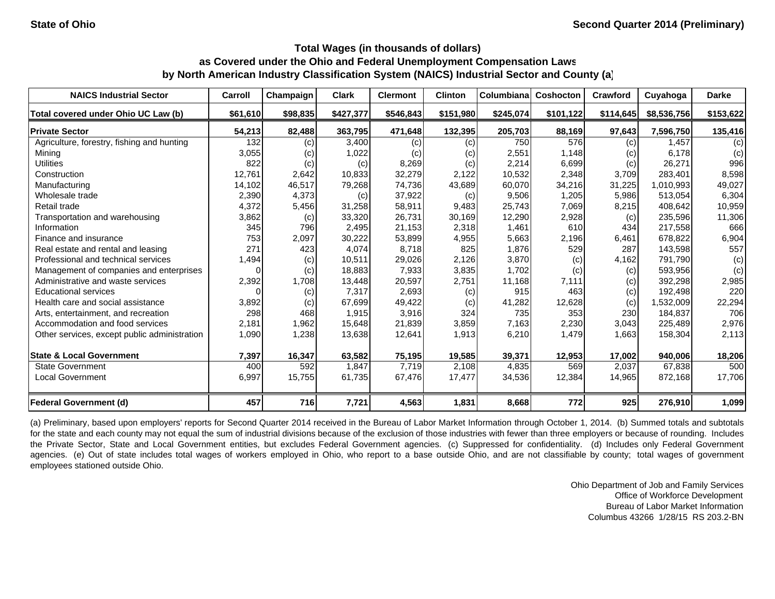| <b>NAICS Industrial Sector</b>               | Carroll  | Champaign | <b>Clark</b> | <b>Clermont</b> | <b>Clinton</b> | Columbiana | <b>Coshocton</b> | Crawford  | Cuyahoga    | <b>Darke</b> |
|----------------------------------------------|----------|-----------|--------------|-----------------|----------------|------------|------------------|-----------|-------------|--------------|
| Total covered under Ohio UC Law (b)          | \$61,610 | \$98,835  | \$427,377    | \$546,843       | \$151,980      | \$245,074  | \$101,122        | \$114,645 | \$8,536,756 | \$153,622    |
| <b>Private Sector</b>                        | 54,213   | 82,488    | 363,795      | 471,648         | 132,395        | 205,703    | 88,169           | 97,643    | 7,596,750   | 135,416      |
| Agriculture, forestry, fishing and hunting   | 132      | (c)       | 3,400        | (c)             | (c)            | 750        | 576              | (c)       | 1.457       | (c)          |
| Mining                                       | 3,055    | (c)       | 1,022        | (c)             | (c)            | 2,551      | 1,148            | (c)       | 6.178       | (c)          |
| <b>Utilities</b>                             | 822      | (c)       | (c)          | 8,269           | (c)            | 2,214      | 6,699            | (c)       | 26,271      | 996          |
| Construction                                 | 12,761   | 2,642     | 10,833       | 32,279          | 2.122          | 10,532     | 2,348            | 3,709     | 283.401     | 8,598        |
| Manufacturing                                | 14,102   | 46,517    | 79,268       | 74,736          | 43,689         | 60,070     | 34,216           | 31,225    | 1,010,993   | 49,027       |
| Wholesale trade                              | 2,390    | 4,373     | (c)          | 37,922          | (c)            | 9,506      | 1,205            | 5,986     | 513,054     | 6,304        |
| Retail trade                                 | 4,372    | 5,456     | 31,258       | 58,911          | 9,483          | 25,743     | 7,069            | 8,215     | 408,642     | 10,959       |
| Transportation and warehousing               | 3,862    | (c)       | 33,320       | 26,731          | 30,169         | 12,290     | 2,928            | (c)       | 235,596     | 11,306       |
| Information                                  | 345      | 796       | 2,495        | 21,153          | 2,318          | 1,461      | 610              | 434       | 217,558     | 666          |
| Finance and insurance                        | 753      | 2,097     | 30,222       | 53,899          | 4,955          | 5,663      | 2,196            | 6,461     | 678,822     | 6,904        |
| Real estate and rental and leasing           | 271      | 423       | 4,074        | 8,718           | 825            | 1,876      | 529              | 287       | 143,598     | 557          |
| Professional and technical services          | 1,494    | (c)       | 10,511       | 29,026          | 2,126          | 3,870      | (c)              | 4,162     | 791,790     | (c)          |
| Management of companies and enterprises      | $\Omega$ | (c)       | 18,883       | 7,933           | 3,835          | 1,702      | (c)              | (c)       | 593,956     | (c)          |
| Administrative and waste services            | 2,392    | 1,708     | 13,448       | 20,597          | 2,751          | 11,168     | 7,111            | (c)       | 392,298     | 2,985        |
| <b>Educational services</b>                  |          | (c)       | 7,317        | 2,693           | (c)            | 915        | 463              | (c)       | 192,498     | 220          |
| Health care and social assistance            | 3,892    | (c)       | 67,699       | 49,422          | (c)            | 41,282     | 12,628           | (c)       | 1,532,009   | 22,294       |
| Arts, entertainment, and recreation          | 298      | 468       | 1,915        | 3,916           | 324            | 735        | 353              | 230       | 184,837     | 706          |
| Accommodation and food services              | 2,181    | 1,962     | 15,648       | 21,839          | 3,859          | 7,163      | 2,230            | 3,043     | 225,489     | 2,976        |
| Other services, except public administration | 1,090    | 1,238     | 13,638       | 12,641          | 1,913          | 6,210      | 1,479            | 1,663     | 158,304     | 2,113        |
| <b>State &amp; Local Government</b>          | 7,397    | 16,347    | 63,582       | 75,195          | 19,585         | 39,371     | 12,953           | 17,002    | 940,006     | 18,206       |
| <b>State Government</b>                      | 400      | 592       | 1,847        | 7,719           | 2.108          | 4,835      | 569              | 2,037     | 67.838      | 500          |
| <b>Local Government</b>                      | 6,997    | 15,755    | 61,735       | 67,476          | 17,477         | 34,536     | 12,384           | 14,965    | 872,168     | 17,706       |
| Federal Government (d)                       | 457      | 716       | 7,721        | 4,563           | 1,831          | 8,668      | 772              | 925       | 276,910     | 1,099        |

(a) Preliminary, based upon employers' reports for Second Quarter 2014 received in the Bureau of Labor Market Information through October 1, 2014. (b) Summed totals and subtotals for the state and each county may not equal the sum of industrial divisions because of the exclusion of those industries with fewer than three employers or because of rounding. Includes the Private Sector, State and Local Government entities, but excludes Federal Government agencies. (c) Suppressed for confidentiality. (d) Includes only Federal Government agencies. (e) Out of state includes total wages of workers employed in Ohio, who report to a base outside Ohio, and are not classifiable by county; total wages of government employees stationed outside Ohio.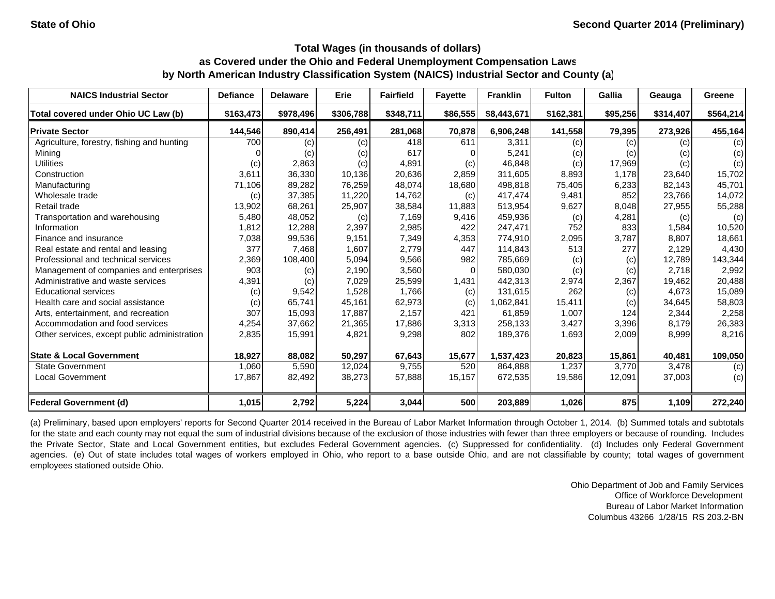| <b>NAICS Industrial Sector</b>               | <b>Defiance</b> | <b>Delaware</b> | Erie      | <b>Fairfield</b> | <b>Favette</b> | <b>Franklin</b> | <b>Fulton</b> | Gallia   | Geauga    | Greene    |
|----------------------------------------------|-----------------|-----------------|-----------|------------------|----------------|-----------------|---------------|----------|-----------|-----------|
| Total covered under Ohio UC Law (b)          | \$163,473       | \$978,496       | \$306,788 | \$348,711        | \$86,555       | \$8,443,671     | \$162,381     | \$95,256 | \$314,407 | \$564,214 |
| <b>Private Sector</b>                        | 144,546         | 890,414         | 256,491   | 281,068          | 70,878         | 6,906,248       | 141,558       | 79,395   | 273,926   | 455,164   |
| Agriculture, forestry, fishing and hunting   | 700             | (c)             | (c)       | 418              | 611            | 3,311           | (c)           | (c)      | (c)       | (c)       |
| Mining                                       |                 | (c)             | (c)       | 617              |                | 5,241           | (c)           | (c)      | (c)       | (c)       |
| <b>Utilities</b>                             | (c)             | 2,863           | (c)       | 4,891            | (c)            | 46,848          | (c)           | 17,969   | (c)       | (c)       |
| Construction                                 | 3,611           | 36,330          | 10,136    | 20,636           | 2,859          | 311,605         | 8,893         | 1.178    | 23,640    | 15,702    |
| Manufacturing                                | 71,106          | 89,282          | 76,259    | 48,074           | 18,680         | 498,818         | 75,405        | 6,233    | 82,143    | 45,701    |
| Wholesale trade                              | (c)             | 37,385          | 11,220    | 14,762           | (c)            | 417,474         | 9,481         | 852      | 23,766    | 14,072    |
| Retail trade                                 | 13,902          | 68,261          | 25,907    | 38,584           | 11,883         | 513,954         | 9,627         | 8,048    | 27,955    | 55,288    |
| Transportation and warehousing               | 5,480           | 48,052          | (c)       | 7,169            | 9,416          | 459,936         | (c)           | 4,281    | (c)       | (c)       |
| Information                                  | 1,812           | 12,288          | 2,397     | 2,985            | 422            | 247,471         | 752           | 833      | 1,584     | 10,520    |
| Finance and insurance                        | 7,038           | 99,536          | 9,151     | 7,349            | 4,353          | 774,910         | 2,095         | 3,787    | 8,807     | 18,661    |
| Real estate and rental and leasing           | 377             | 7,468           | 1,607     | 2,779            | 447            | 114,843         | 513           | 277      | 2,129     | 4,430     |
| Professional and technical services          | 2,369           | 108,400         | 5,094     | 9,566            | 982            | 785,669         | (c)           | (c)      | 12,789    | 143,344   |
| Management of companies and enterprises      | 903             | (c)             | 2,190     | 3,560            | $\Omega$       | 580,030         | (c)           | (c)      | 2,718     | 2,992     |
| Administrative and waste services            | 4,391           | (c)             | 7,029     | 25,599           | 1,431          | 442,313         | 2,974         | 2,367    | 19,462    | 20,488    |
| <b>Educational services</b>                  | (c)             | 9,542           | 1,528     | 1,766            | (c)            | 131,615         | 262           | (c)      | 4,673     | 15,089    |
| Health care and social assistance            | (c)             | 65,741          | 45,161    | 62,973           | (c)            | 1,062,841       | 15,411        | (c)      | 34,645    | 58,803    |
| Arts, entertainment, and recreation          | 307             | 15,093          | 17,887    | 2,157            | 421            | 61,859          | 1,007         | 124      | 2,344     | 2,258     |
| Accommodation and food services              | 4,254           | 37,662          | 21,365    | 17,886           | 3,313          | 258,133         | 3,427         | 3,396    | 8,179     | 26,383    |
| Other services, except public administration | 2,835           | 15,991          | 4,821     | 9,298            | 802            | 189,376         | 1,693         | 2,009    | 8,999     | 8,216     |
| <b>State &amp; Local Government</b>          | 18,927          | 88,082          | 50,297    | 67,643           | 15,677         | 1,537,423       | 20,823        | 15,861   | 40,481    | 109,050   |
| <b>State Government</b>                      | 1,060           | 5,590           | 12,024    | 9,755            | 520            | 864,888         | 1,237         | 3,770    | 3,478     | (c)       |
| <b>Local Government</b>                      | 17,867          | 82,492          | 38,273    | 57,888           | 15,157         | 672,535         | 19,586        | 12,091   | 37,003    | (c)       |
| <b>Federal Government (d)</b>                | 1,015           | 2,792           | 5,224     | 3,044            | 500            | 203,889         | 1,026         | 875      | 1,109     | 272,240   |

(a) Preliminary, based upon employers' reports for Second Quarter 2014 received in the Bureau of Labor Market Information through October 1, 2014. (b) Summed totals and subtotals for the state and each county may not equal the sum of industrial divisions because of the exclusion of those industries with fewer than three employers or because of rounding. Includes the Private Sector, State and Local Government entities, but excludes Federal Government agencies. (c) Suppressed for confidentiality. (d) Includes only Federal Government agencies. (e) Out of state includes total wages of workers employed in Ohio, who report to a base outside Ohio, and are not classifiable by county; total wages of government employees stationed outside Ohio.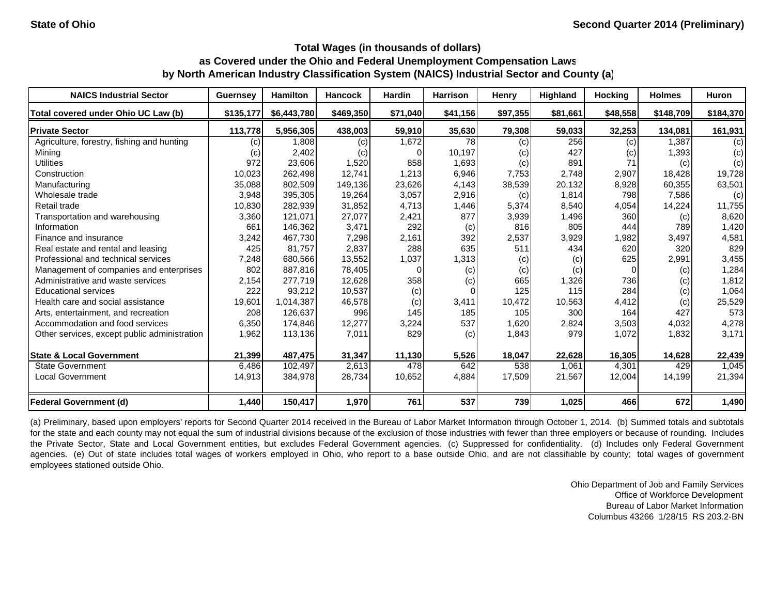| <b>NAICS Industrial Sector</b>               | <b>Guernsey</b>   | <b>Hamilton</b> | <b>Hancock</b> | <b>Hardin</b> | <b>Harrison</b> | Henry    | <b>Highland</b> | <b>Hocking</b> | <b>Holmes</b> | Huron     |
|----------------------------------------------|-------------------|-----------------|----------------|---------------|-----------------|----------|-----------------|----------------|---------------|-----------|
| Total covered under Ohio UC Law (b)          | \$135,177         | \$6,443,780     | \$469,350      | \$71,040      | \$41,156        | \$97,355 | \$81,661        | \$48,558       | \$148,709     | \$184,370 |
| <b>Private Sector</b>                        | 113,778           | 5.956.305       | 438,003        | 59,910        | 35,630          | 79,308   | 59,033          | 32,253         | 134,081       | 161,931   |
| Agriculture, forestry, fishing and hunting   | (C)               | 1,808           | (c)            | 1,672         | 78              | (c)      | 256             | (c)            | 1.387         | (c)       |
| Mining                                       | $\left( c\right)$ | 2,402           | (c)            |               | 10,197          | (c)      | 427             | (c)            | 1,393         | (c)       |
| <b>Utilities</b>                             | 972               | 23,606          | 1,520          | 858           | 1,693           | (c)      | 891             | 71             | (c)           | (c)       |
| Construction                                 | 10,023            | 262,498         | 12,741         | 1,213         | 6,946           | 7,753    | 2,748           | 2,907          | 18,428        | 19,728    |
| Manufacturing                                | 35,088            | 802,509         | 149,136        | 23,626        | 4,143           | 38,539   | 20,132          | 8,928          | 60,355        | 63,501    |
| Wholesale trade                              | 3,948             | 395,305         | 19,264         | 3,057         | 2,916           | (c)      | 1,814           | 798            | 7,586         | (c)       |
| Retail trade                                 | 10,830            | 282,939         | 31,852         | 4,713         | 1,446           | 5,374    | 8,540           | 4,054          | 14,224        | 11,755    |
| Transportation and warehousing               | 3,360             | 121,071         | 27,077         | 2,421         | 877             | 3,939    | 1,496           | 360            | (c)           | 8,620     |
| Information                                  | 661               | 146,362         | 3,471          | 292           | (c)             | 816      | 805             | 444            | 789           | 1,420     |
| Finance and insurance                        | 3,242             | 467,730         | 7,298          | 2,161         | 392             | 2,537    | 3,929           | 1,982          | 3,497         | 4,581     |
| Real estate and rental and leasing           | 425               | 81,757          | 2,837          | 288           | 635             | 511      | 434             | 620            | 320           | 829       |
| Professional and technical services          | 7,248             | 680.566         | 13,552         | 1,037         | 1,313           | (c)      | (c)             | 625            | 2,991         | 3,455     |
| Management of companies and enterprises      | 802               | 887,816         | 78,405         | $\Omega$      | (c)             | (c)      | (c)             | $\Omega$       | (c)           | 1,284     |
| Administrative and waste services            | 2,154             | 277,719         | 12,628         | 358           | (c)             | 665      | 1,326           | 736            | (c)           | 1,812     |
| <b>Educational services</b>                  | 222               | 93,212          | 10,537         | (c)           |                 | 125      | 115             | 284            | (c)           | 1,064     |
| Health care and social assistance            | 19,601            | 1,014,387       | 46,578         | (c)           | 3,411           | 10,472   | 10,563          | 4,412          | (c)           | 25,529    |
| Arts, entertainment, and recreation          | 208               | 126.637         | 996            | 145           | 185             | 105      | 300             | 164            | 427           | 573       |
| Accommodation and food services              | 6,350             | 174,846         | 12,277         | 3,224         | 537             | 1,620    | 2,824           | 3,503          | 4,032         | 4,278     |
| Other services, except public administration | 1,962             | 113,136         | 7,011          | 829           | (c)             | 1,843    | 979             | 1,072          | 1,832         | 3,171     |
| <b>State &amp; Local Government</b>          | 21,399            | 487,475         | 31,347         | 11,130        | 5,526           | 18,047   | 22,628          | 16,305         | 14,628        | 22,439    |
| <b>State Government</b>                      | 6,486             | 102,497         | 2,613          | 478           | 642             | 538      | 1,061           | 4,301          | 429           | 1,045     |
| <b>Local Government</b>                      | 14,913            | 384,978         | 28,734         | 10,652        | 4,884           | 17,509   | 21,567          | 12,004         | 14,199        | 21,394    |
| Federal Government (d)                       | 1,440             | 150,417         | 1,970          | 761           | 537             | 739      | 1,025           | 466            | 672           | 1,490     |

(a) Preliminary, based upon employers' reports for Second Quarter 2014 received in the Bureau of Labor Market Information through October 1, 2014. (b) Summed totals and subtotals for the state and each county may not equal the sum of industrial divisions because of the exclusion of those industries with fewer than three employers or because of rounding. Includes the Private Sector, State and Local Government entities, but excludes Federal Government agencies. (c) Suppressed for confidentiality. (d) Includes only Federal Government agencies. (e) Out of state includes total wages of workers employed in Ohio, who report to a base outside Ohio, and are not classifiable by county; total wages of government employees stationed outside Ohio.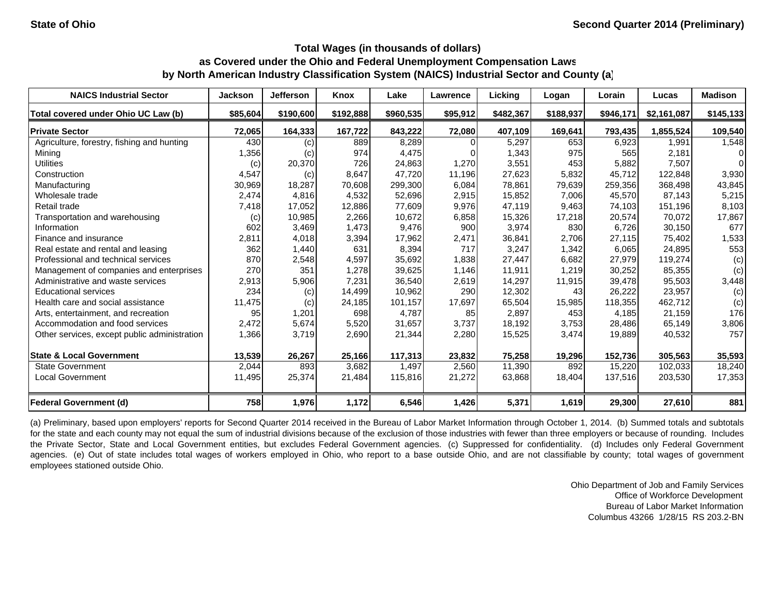| <b>NAICS Industrial Sector</b>               | <b>Jackson</b> | Jefferson | Knox      | Lake      | <b>Lawrence</b> | Licking   | Logan     | Lorain    | Lucas       | <b>Madison</b> |
|----------------------------------------------|----------------|-----------|-----------|-----------|-----------------|-----------|-----------|-----------|-------------|----------------|
| Total covered under Ohio UC Law (b)          | \$85,604       | \$190,600 | \$192,888 | \$960,535 | \$95,912        | \$482,367 | \$188,937 | \$946,171 | \$2,161,087 | \$145,133      |
| <b>Private Sector</b>                        | 72,065         | 164,333   | 167,722   | 843,222   | 72,080          | 407,109   | 169,641   | 793,435   | 1,855,524   | 109,540        |
| Agriculture, forestry, fishing and hunting   | 430            | (c)       | 889       | 8,289     |                 | 5,297     | 653       | 6,923     | 1,991       | 1,548          |
| Mining                                       | 1,356          | (c)       | 974       | 4,475     |                 | 1,343     | 975       | 565       | 2,181       | 01             |
| <b>Utilities</b>                             | (c)            | 20,370    | 726       | 24,863    | 1,270           | 3,551     | 453       | 5,882     | 7,507       | 0              |
| Construction                                 | 4,547          | (c)       | 8.647     | 47.720    | 11.196          | 27,623    | 5,832     | 45.712    | 122.848     | 3,930          |
| Manufacturing                                | 30,969         | 18,287    | 70,608    | 299,300   | 6,084           | 78,861    | 79,639    | 259,356   | 368,498     | 43,845         |
| Wholesale trade                              | 2,474          | 4,816     | 4,532     | 52,696    | 2,915           | 15,852    | 7,006     | 45,570    | 87,143      | 5,215          |
| Retail trade                                 | 7,418          | 17,052    | 12,886    | 77,609    | 9,976           | 47,119    | 9,463     | 74,103    | 151,196     | 8,103          |
| Transportation and warehousing               | (c)            | 10,985    | 2,266     | 10,672    | 6,858           | 15,326    | 17,218    | 20,574    | 70,072      | 17,867         |
| Information                                  | 602            | 3,469     | 1,473     | 9,476     | 900             | 3,974     | 830       | 6,726     | 30,150      | 677            |
| Finance and insurance                        | 2,811          | 4,018     | 3,394     | 17,962    | 2,471           | 36,841    | 2,706     | 27,115    | 75,402      | 1,533          |
| Real estate and rental and leasing           | 362            | 1,440     | 631       | 8,394     | 717             | 3,247     | 1,342     | 6,065     | 24,895      | 553            |
| Professional and technical services          | 870            | 2,548     | 4,597     | 35,692    | 1,838           | 27,447    | 6,682     | 27.979    | 119,274     | (c)            |
| Management of companies and enterprises      | 270            | 351       | 1,278     | 39,625    | 1,146           | 11,911    | 1,219     | 30,252    | 85,355      | (c)            |
| Administrative and waste services            | 2,913          | 5,906     | 7,231     | 36,540    | 2,619           | 14,297    | 11,915    | 39,478    | 95,503      | 3,448          |
| <b>Educational services</b>                  | 234            | (c)       | 14,499    | 10,962    | 290             | 12,302    | 43        | 26,222    | 23,957      | (c)            |
| Health care and social assistance            | 11,475         | (c)       | 24,185    | 101,157   | 17,697          | 65,504    | 15,985    | 118,355   | 462,712     | (c)            |
| Arts, entertainment, and recreation          | 95             | 1,201     | 698       | 4.787     | 85              | 2,897     | 453       | 4.185     | 21,159      | 176            |
| Accommodation and food services              | 2,472          | 5,674     | 5,520     | 31,657    | 3,737           | 18,192    | 3,753     | 28,486    | 65,149      | 3,806          |
| Other services, except public administration | 1,366          | 3,719     | 2,690     | 21,344    | 2,280           | 15,525    | 3,474     | 19,889    | 40,532      | 757            |
| <b>State &amp; Local Government</b>          | 13,539         | 26,267    | 25,166    | 117,313   | 23,832          | 75,258    | 19,296    | 152,736   | 305,563     | 35,593         |
| <b>State Government</b>                      | 2,044          | 893       | 3,682     | 1,497     | 2,560           | 11,390    | 892       | 15,220    | 102,033     | 18,240         |
| Local Government                             | 11,495         | 25,374    | 21,484    | 115,816   | 21,272          | 63,868    | 18,404    | 137,516   | 203,530     | 17,353         |
| <b>Federal Government (d)</b>                | 758            | 1,976     | 1,172     | 6,546     | 1,426           | 5,371     | 1,619     | 29,300    | 27,610      | 881            |

(a) Preliminary, based upon employers' reports for Second Quarter 2014 received in the Bureau of Labor Market Information through October 1, 2014. (b) Summed totals and subtotals for the state and each county may not equal the sum of industrial divisions because of the exclusion of those industries with fewer than three employers or because of rounding. Includes the Private Sector, State and Local Government entities, but excludes Federal Government agencies. (c) Suppressed for confidentiality. (d) Includes only Federal Government agencies. (e) Out of state includes total wages of workers employed in Ohio, who report to a base outside Ohio, and are not classifiable by county; total wages of government employees stationed outside Ohio.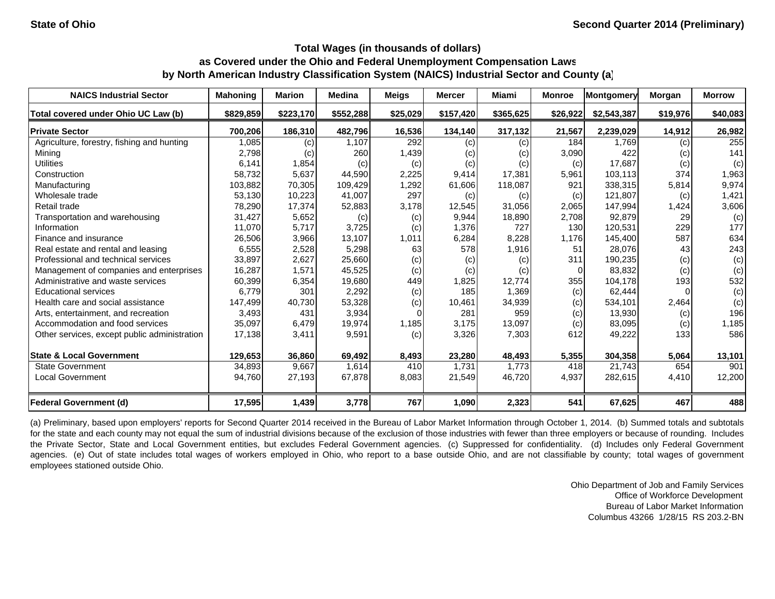| <b>NAICS Industrial Sector</b>               | <b>Mahoning</b> | <b>Marion</b> | <b>Medina</b> | Meigs    | <b>Mercer</b> | <b>Miami</b>               | <b>Monroe</b>  | Montgomery  | Morgan   | <b>Morrow</b> |
|----------------------------------------------|-----------------|---------------|---------------|----------|---------------|----------------------------|----------------|-------------|----------|---------------|
| Total covered under Ohio UC Law (b)          | \$829,859       | \$223,170     | \$552,288     | \$25,029 | \$157,420     | \$365,625                  | \$26,922       | \$2,543,387 | \$19,976 | \$40,083      |
| <b>Private Sector</b>                        | 700,206         | 186,310       | 482,796       | 16,536   | 134,140       | 317,132                    | 21,567         | 2,239,029   | 14,912   | 26,982        |
| Agriculture, forestry, fishing and hunting   | 1,085           | (c)           | 1,107         | 292      | (c)           | (c)                        | 184            | 1,769       | (c)      | 255           |
| Mining                                       | 2,798           | (c)           | 260           | 1,439    | (c)           | (c)                        | 3,090          | 422         | (c)      | 141           |
| <b>Utilities</b>                             | 6,141           | 1,854         | (c)           | (c)      | (c)           | (c)                        | (c)            | 17,687      | (c)      | (c)           |
| Construction                                 | 58,732          | 5,637         | 44,590        | 2,225    | 9,414         | 17.381                     | 5,961          | 103.113     | 374      | 1,963         |
| Manufacturing                                | 103,882         | 70,305        | 109,429       | 1,292    | 61,606        | 118,087                    | 921            | 338,315     | 5,814    | 9,974         |
| Wholesale trade                              | 53,130          | 10,223        | 41,007        | 297      | (c)           | (c)                        | (c)            | 121,807     | (c)      | 1,421         |
| Retail trade                                 | 78,290          | 17,374        | 52,883        | 3,178    | 12,545        | 31,056                     | 2,065          | 147,994     | 1,424    | 3,606         |
| Transportation and warehousing               | 31,427          | 5,652         | (c)           | (c)      | 9,944         | 18,890                     | 2,708          | 92,879      | 29       | (c)           |
| Information                                  | 11,070          | 5,717         | 3,725         | (c)      | 1,376         | 727                        | 130            | 120,531     | 229      | 177           |
| Finance and insurance                        | 26,506          | 3,966         | 13,107        | 1,011    | 6,284         | 8,228                      | 1,176          | 145,400     | 587      | 634           |
| Real estate and rental and leasing           | 6,555           | 2,528         | 5,298         | 63       | 578           | 1,916                      | 51             | 28,076      | 43       | 243           |
| Professional and technical services          | 33,897          | 2,627         | 25,660        | (c)      | (c)           | (c)                        | 311            | 190,235     | (c)      | (c)           |
| Management of companies and enterprises      | 16,287          | 1,571         | 45,525        | (c)      | (c)           | $\left( \mathrm{c}\right)$ | $\overline{0}$ | 83,832      | (c)      | (c)           |
| Administrative and waste services            | 60,399          | 6,354         | 19,680        | 449      | 1,825         | 12,774                     | 355            | 104,178     | 193      | 532           |
| <b>Educational services</b>                  | 6,779           | 301           | 2,292         | (c)      | 185           | 1,369                      | (c)            | 62,444      |          | (c)           |
| Health care and social assistance            | 147,499         | 40,730        | 53,328        | (c)      | 10,461        | 34,939                     | (c)            | 534,101     | 2,464    | (c)           |
| Arts, entertainment, and recreation          | 3,493           | 431           | 3,934         |          | 281           | 959                        | (c)            | 13,930      | (c)      | 196           |
| Accommodation and food services              | 35,097          | 6,479         | 19,974        | 1,185    | 3,175         | 13,097                     | (c)            | 83,095      | (c)      | 1,185         |
| Other services, except public administration | 17,138          | 3,411         | 9,591         | (c)      | 3,326         | 7,303                      | 612            | 49,222      | 133      | 586           |
| <b>State &amp; Local Government</b>          | 129,653         | 36,860        | 69,492        | 8,493    | 23,280        | 48,493                     | 5,355          | 304,358     | 5,064    | 13,101        |
| <b>State Government</b>                      | 34,893          | 9,667         | 1,614         | 410      | 1,731         | 1,773                      | 418            | 21,743      | 654      | 901           |
| <b>Local Government</b>                      | 94,760          | 27,193        | 67,878        | 8,083    | 21,549        | 46,720                     | 4,937          | 282,615     | 4,410    | 12,200        |
| <b>Federal Government (d)</b>                | 17,595          | 1,439         | 3,778         | 767      | 1,090         | 2,323                      | 541            | 67,625      | 467      | 488           |

(a) Preliminary, based upon employers' reports for Second Quarter 2014 received in the Bureau of Labor Market Information through October 1, 2014. (b) Summed totals and subtotals for the state and each county may not equal the sum of industrial divisions because of the exclusion of those industries with fewer than three employers or because of rounding. Includes the Private Sector, State and Local Government entities, but excludes Federal Government agencies. (c) Suppressed for confidentiality. (d) Includes only Federal Government agencies. (e) Out of state includes total wages of workers employed in Ohio, who report to a base outside Ohio, and are not classifiable by county; total wages of government employees stationed outside Ohio.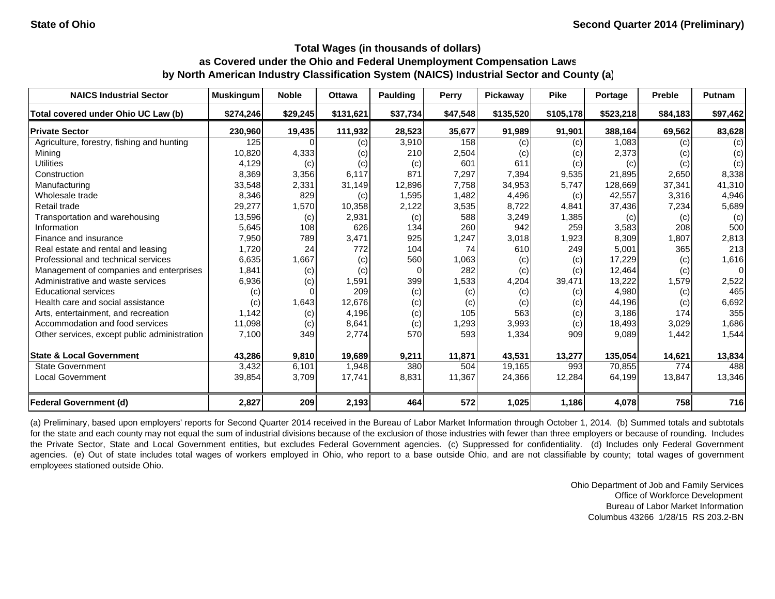| <b>NAICS Industrial Sector</b>               | <b>Muskingum</b> | <b>Noble</b> | <b>Ottawa</b> | <b>Paulding</b> | Perry    | <b>Pickaway</b>   | <b>Pike</b> | Portage   | <b>Preble</b> | <b>Putnam</b>  |
|----------------------------------------------|------------------|--------------|---------------|-----------------|----------|-------------------|-------------|-----------|---------------|----------------|
| Total covered under Ohio UC Law (b)          | \$274,246        | \$29,245     | \$131,621     | \$37,734        | \$47,548 | \$135,520         | \$105,178   | \$523,218 | \$84,183      | \$97,462       |
| <b>Private Sector</b>                        | 230,960          | 19,435       | 111,932       | 28,523          | 35,677   | 91,989            | 91,901      | 388.164   | 69,562        | 83,628         |
| Agriculture, forestry, fishing and hunting   | 125              |              | (c)           | 3,910           | 158      | (c)               | (c)         | 1,083     | (c)           | (c)            |
| Mining                                       | 10,820           | 4,333        | (c)           | 210             | 2,504    | $\left( c\right)$ | (c)         | 2,373     | (c)           | (c)            |
| <b>Utilities</b>                             | 4,129            | (c)          | (c)           | (c)             | 601      | 611               | (c)         | (c)       | (c)           | (c)            |
| Construction                                 | 8,369            | 3,356        | 6,117         | 871             | 7,297    | 7,394             | 9,535       | 21,895    | 2,650         | 8,338          |
| Manufacturing                                | 33,548           | 2,331        | 31,149        | 12,896          | 7,758    | 34,953            | 5,747       | 128,669   | 37,341        | 41,310         |
| Wholesale trade                              | 8,346            | 829          | (c)           | 1,595           | 1.482    | 4,496             | (c)         | 42,557    | 3,316         | 4,946          |
| Retail trade                                 | 29,277           | 1,570        | 10,358        | 2,122           | 3,535    | 8,722             | 4,841       | 37,436    | 7,234         | 5,689          |
| Transportation and warehousing               | 13,596           | (c)          | 2,931         | (c)             | 588      | 3,249             | 1,385       | (c)       | (c)           | (c)            |
| Information                                  | 5,645            | 108          | 626           | 134             | 260      | 942               | 259         | 3,583     | 208           | 500            |
| Finance and insurance                        | 7,950            | 789          | 3,471         | 925             | 1,247    | 3,018             | 1,923       | 8,309     | 1,807         | 2,813          |
| Real estate and rental and leasing           | 1,720            | 24           | 772           | 104             | 74       | 610               | 249         | 5,001     | 365           | 213            |
| Professional and technical services          | 6,635            | 1,667        | (c)           | 560             | 1,063    | (c)               | (c)         | 17,229    | (c)           | 1,616          |
| Management of companies and enterprises      | 1,841            | (c)          | (c)           |                 | 282      | (c)               | (c)         | 12,464    | (c)           | $\overline{0}$ |
| Administrative and waste services            | 6,936            | (c)          | 1,591         | 399             | 1,533    | 4,204             | 39,471      | 13,222    | 1,579         | 2,522          |
| <b>Educational services</b>                  | (c)              |              | 209           | (c)             | (c)      | (c)               | (c)         | 4,980     | (c)           | 465            |
| Health care and social assistance            | (c)              | 1,643        | 12,676        | (c)             | (c)      | (c)               | (c)         | 44,196    | (c)           | 6,692          |
| Arts, entertainment, and recreation          | 1,142            | (c)          | 4,196         | (c)             | 105      | 563               | (c)         | 3,186     | 174           | 355            |
| Accommodation and food services              | 11,098           | (c)          | 8,641         | (c)             | 1,293    | 3,993             | (c)         | 18,493    | 3,029         | 1,686          |
| Other services, except public administration | 7,100            | 349          | 2,774         | 570             | 593      | 1,334             | 909         | 9,089     | 1,442         | 1,544          |
| <b>State &amp; Local Government</b>          | 43,286           | 9,810        | 19,689        | 9,211           | 11,871   | 43,531            | 13,277      | 135,054   | 14,621        | 13,834         |
| <b>State Government</b>                      | 3,432            | 6,101        | 1,948         | 380             | 504      | 19,165            | 993         | 70,855    | 774           | 488            |
| <b>Local Government</b>                      | 39,854           | 3,709        | 17,741        | 8,831           | 11,367   | 24,366            | 12,284      | 64,199    | 13,847        | 13,346         |
| <b>Federal Government (d)</b>                | 2,827            | 209          | 2,193         | 464             | 572      | 1,025             | 1,186       | 4,078     | 758           | 716            |

(a) Preliminary, based upon employers' reports for Second Quarter 2014 received in the Bureau of Labor Market Information through October 1, 2014. (b) Summed totals and subtotals for the state and each county may not equal the sum of industrial divisions because of the exclusion of those industries with fewer than three employers or because of rounding. Includes the Private Sector, State and Local Government entities, but excludes Federal Government agencies. (c) Suppressed for confidentiality. (d) Includes only Federal Government agencies. (e) Out of state includes total wages of workers employed in Ohio, who report to a base outside Ohio, and are not classifiable by county; total wages of government employees stationed outside Ohio.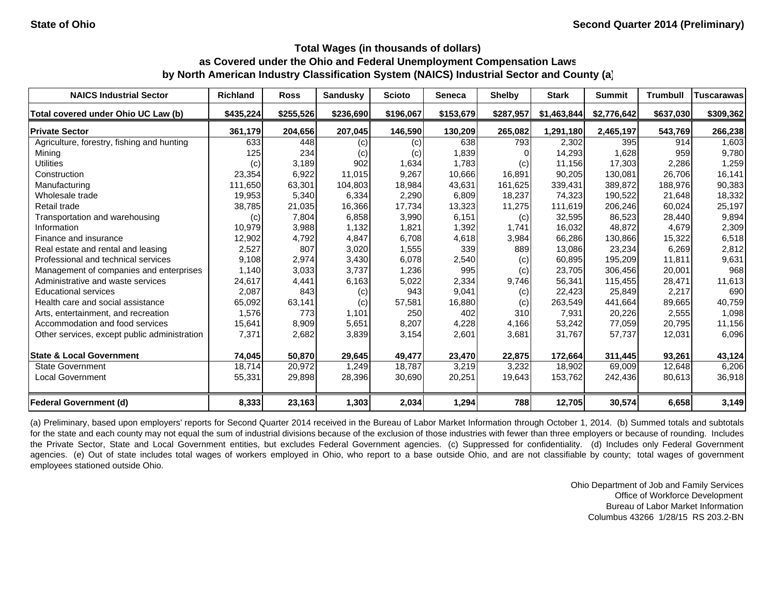| <b>NAICS Industrial Sector</b>               | <b>Richland</b> | <b>Ross</b> | <b>Sandusky</b> | <b>Scioto</b> | Seneca    | <b>Shelby</b> | <b>Stark</b> | <b>Summit</b> | <b>Trumbull</b> | <b>Tuscarawas</b> |
|----------------------------------------------|-----------------|-------------|-----------------|---------------|-----------|---------------|--------------|---------------|-----------------|-------------------|
| Total covered under Ohio UC Law (b)          | \$435,224       | \$255,526   | \$236,690       | \$196,067     | \$153,679 | \$287,957     | \$1,463,844  | \$2,776,642   | \$637,030       | \$309,362         |
| <b>Private Sector</b>                        | 361,179         | 204,656     | 207,045         | 146,590       | 130,209   | 265,082       | 1,291,180    | 2,465,197     | 543,769         | 266,238           |
| Agriculture, forestry, fishing and hunting   | 633             | 448         | (c)             | (c)           | 638       | 793           | 2,302        | 395           | 914             | 1,603             |
| Mining                                       | 125             | 234         | (c)             | (c)           | 1,839     |               | 14,293       | 1,628         | 959             | 9,780             |
| <b>Utilities</b>                             | (c)             | 3,189       | 902             | 1,634         | 1,783     | (c)           | 11,156       | 17,303        | 2,286           | 1,259             |
| Construction                                 | 23,354          | 6,922       | 11,015          | 9,267         | 10,666    | 16,891        | 90,205       | 130.081       | 26.706          | 16,141            |
| Manufacturing                                | 111,650         | 63,301      | 104,803         | 18,984        | 43,631    | 161,625       | 339,431      | 389,872       | 188,976         | 90,383            |
| Wholesale trade                              | 19,953          | 5,340       | 6,334           | 2,290         | 6,809     | 18,237        | 74,323       | 190,522       | 21,648          | 18,332            |
| Retail trade                                 | 38,785          | 21,035      | 16,366          | 17,734        | 13,323    | 11,275        | 111,619      | 206,246       | 60,024          | 25,197            |
| Transportation and warehousing               | (c)             | 7,804       | 6,858           | 3,990         | 6,151     | (c)           | 32,595       | 86,523        | 28,440          | 9,894             |
| Information                                  | 10,979          | 3,988       | 1,132           | 1,821         | 1,392     | 1,741         | 16,032       | 48,872        | 4,679           | 2,309             |
| Finance and insurance                        | 12,902          | 4,792       | 4,847           | 6,708         | 4,618     | 3,984         | 66,286       | 130,866       | 15,322          | 6,518             |
| Real estate and rental and leasing           | 2,527           | 807         | 3,020           | 1,555         | 339       | 889           | 13,086       | 23,234        | 6,269           | 2,812             |
| Professional and technical services          | 9,108           | 2,974       | 3,430           | 6,078         | 2,540     | (c)           | 60,895       | 195,209       | 11,811          | 9,631             |
| Management of companies and enterprises      | 1,140           | 3,033       | 3,737           | 1,236         | 995       | (c)           | 23,705       | 306,456       | 20,001          | 968               |
| Administrative and waste services            | 24,617          | 4,441       | 6,163           | 5,022         | 2,334     | 9,746         | 56,341       | 115,455       | 28,471          | 11,613            |
| <b>Educational services</b>                  | 2,087           | 843         | (c)             | 943           | 9,041     | (c)           | 22,423       | 25,849        | 2,217           | 690               |
| Health care and social assistance            | 65,092          | 63,141      | (c)             | 57,581        | 16,880    | (c)           | 263,549      | 441,664       | 89,665          | 40,759            |
| Arts, entertainment, and recreation          | 1,576           | 773         | 1,101           | 250           | 402       | 310           | 7,931        | 20,226        | 2,555           | 1,098             |
| Accommodation and food services              | 15,641          | 8,909       | 5,651           | 8,207         | 4,228     | 4,166         | 53,242       | 77,059        | 20,795          | 11,156            |
| Other services, except public administration | 7,371           | 2,682       | 3,839           | 3,154         | 2,601     | 3,681         | 31,767       | 57,737        | 12,031          | 6,096             |
| <b>State &amp; Local Government</b>          | 74,045          | 50,870      | 29,645          | 49,477        | 23,470    | 22,875        | 172,664      | 311,445       | 93,261          | 43,124            |
| <b>State Government</b>                      | 18,714          | 20,972      | 1,249           | 18,787        | 3,219     | 3,232         | 18,902       | 69,009        | 12,648          | 6,206             |
| <b>Local Government</b>                      | 55,331          | 29,898      | 28,396          | 30,690        | 20,251    | 19,643        | 153,762      | 242,436       | 80,613          | 36,918            |
| <b>Federal Government (d)</b>                | 8,333           | 23,163      | 1,303           | 2,034         | 1,294     | 788           | 12,705       | 30,574        | 6,658           | 3,149             |

(a) Preliminary, based upon employers' reports for Second Quarter 2014 received in the Bureau of Labor Market Information through October 1, 2014. (b) Summed totals and subtotals for the state and each county may not equal the sum of industrial divisions because of the exclusion of those industries with fewer than three employers or because of rounding. Includes the Private Sector, State and Local Government entities, but excludes Federal Government agencies. (c) Suppressed for confidentiality. (d) Includes only Federal Government agencies. (e) Out of state includes total wages of workers employed in Ohio, who report to a base outside Ohio, and are not classifiable by county; total wages of government employees stationed outside Ohio.